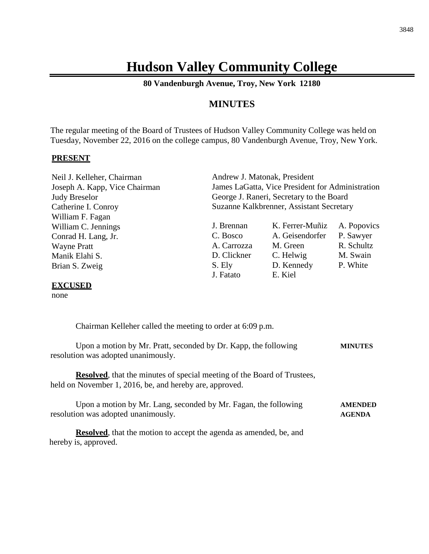# **Hudson Valley Community College**

**80 Vandenburgh Avenue, Troy, New York 12180**

# **MINUTES**

The regular meeting of the Board of Trustees of Hudson Valley Community College was held on Tuesday, November 22, 2016 on the college campus, 80 Vandenburgh Avenue, Troy, New York.

#### **PRESENT**

| Neil J. Kelleher, Chairman    | Andrew J. Matonak, President                     |                 |             |
|-------------------------------|--------------------------------------------------|-----------------|-------------|
| Joseph A. Kapp, Vice Chairman | James LaGatta, Vice President for Administration |                 |             |
| <b>Judy Breselor</b>          | George J. Raneri, Secretary to the Board         |                 |             |
| Catherine I. Conroy           | Suzanne Kalkbrenner, Assistant Secretary         |                 |             |
| William F. Fagan              |                                                  |                 |             |
| William C. Jennings           | J. Brennan                                       | K. Ferrer-Muñiz | A. Popovics |
| Conrad H. Lang, Jr.           | C. Bosco                                         | A. Geisendorfer | P. Sawyer   |
| <b>Wayne Pratt</b>            | A. Carrozza                                      | M. Green        | R. Schultz  |
| Manik Elahi S.                | D. Clickner                                      | C. Helwig       | M. Swain    |
| Brian S. Zweig                | S. Ely                                           | D. Kennedy      | P. White    |
|                               | J. Fatato                                        | E. Kiel         |             |
| <b>EVAUCED</b>                |                                                  |                 |             |

#### **EXCUSED**

none

Chairman Kelleher called the meeting to order at 6:09 p.m.

| Upon a motion by Mr. Pratt, seconded by Dr. Kapp, the following | <b>MINUTES</b> |
|-----------------------------------------------------------------|----------------|
| resolution was adopted unanimously.                             |                |

**Resolved**, that the minutes of special meeting of the Board of Trustees, held on November 1, 2016, be, and hereby are, approved.

| Upon a motion by Mr. Lang, seconded by Mr. Fagan, the following | <b>AMENDED</b> |
|-----------------------------------------------------------------|----------------|
| resolution was adopted unanimously.                             | AGENDA         |

**Resolved**, that the motion to accept the agenda as amended, be, and hereby is, approved.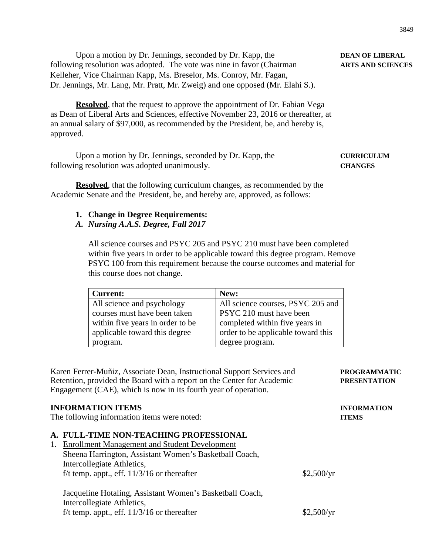Upon a motion by Dr. Jennings, seconded by Dr. Kapp, the **DEAN OF LIBERAL** following resolution was adopted. The vote was nine in favor (Chairman **ARTS AND SCIENCES** Kelleher, Vice Chairman Kapp, Ms. Breselor, Ms. Conroy, Mr. Fagan, Dr. Jennings, Mr. Lang, Mr. Pratt, Mr. Zweig) and one opposed (Mr. Elahi S.).

**Resolved**, that the request to approve the appointment of Dr. Fabian Vega as Dean of Liberal Arts and Sciences, effective November 23, 2016 or thereafter, at an annual salary of \$97,000, as recommended by the President, be, and hereby is, approved.

Upon a motion by Dr. Jennings, seconded by Dr. Kapp, the **CURRICULUM** following resolution was adopted unanimously. **CHANGES**

**Resolved**, that the following curriculum changes, as recommended by the Academic Senate and the President, be, and hereby are, approved, as follows:

#### **1. Change in Degree Requirements:**

## *A. Nursing A.A.S. Degree, Fall 2017*

All science courses and PSYC 205 and PSYC 210 must have been completed within five years in order to be applicable toward this degree program. Remove PSYC 100 from this requirement because the course outcomes and material for this course does not change.

| <b>Current:</b>                  | New:                               |
|----------------------------------|------------------------------------|
| All science and psychology       | All science courses, PSYC 205 and  |
| courses must have been taken     | PSYC 210 must have been            |
| within five years in order to be | completed within five years in     |
| applicable toward this degree    | order to be applicable toward this |
| program.                         | degree program.                    |

| Karen Ferrer-Muñiz, Associate Dean, Instructional Support Services and<br>Retention, provided the Board with a report on the Center for Academic<br>Engagement (CAE), which is now in its fourth year of operation. |            | <b>PROGRAMMATIC</b><br><b>PRESENTATION</b> |  |
|---------------------------------------------------------------------------------------------------------------------------------------------------------------------------------------------------------------------|------------|--------------------------------------------|--|
| <b>INFORMATION ITEMS</b><br>The following information items were noted:                                                                                                                                             |            | <b>INFORMATION</b><br><b>ITEMS</b>         |  |
| A. FULL-TIME NON-TEACHING PROFESSIONAL<br><b>Enrollment Management and Student Development</b><br>1.<br>Sheena Harrington, Assistant Women's Basketball Coach,                                                      |            |                                            |  |
| Intercollegiate Athletics,<br>f/t temp. appt., eff. $11/3/16$ or thereafter                                                                                                                                         | \$2,500/yr |                                            |  |
| Jacqueline Hotaling, Assistant Women's Basketball Coach,<br>Intercollegiate Athletics,                                                                                                                              |            |                                            |  |
| f/t temp. appt., eff. $11/3/16$ or thereafter                                                                                                                                                                       | \$2,500/yr |                                            |  |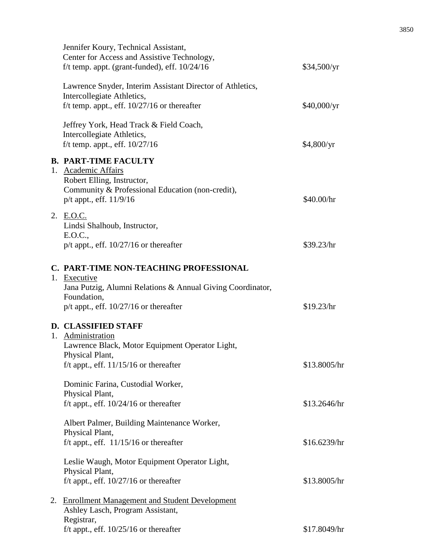| Jennifer Koury, Technical Assistant,<br>Center for Access and Assistive Technology,<br>f/t temp. appt. (grant-funded), eff. $10/24/16$                                            | \$34,500/yr  |
|-----------------------------------------------------------------------------------------------------------------------------------------------------------------------------------|--------------|
| Lawrence Snyder, Interim Assistant Director of Athletics,<br>Intercollegiate Athletics,<br>f/t temp. appt., eff. $10/27/16$ or thereafter                                         | \$40,000/yr  |
| Jeffrey York, Head Track & Field Coach,<br>Intercollegiate Athletics,<br>f/t temp. appt., eff. $10/27/16$                                                                         | \$4,800/yr   |
| <b>B. PART-TIME FACULTY</b><br>1. Academic Affairs<br>Robert Elling, Instructor,<br>Community & Professional Education (non-credit),<br>p/t appt., eff. 11/9/16                   | \$40.00/hr   |
| 2. E.O.C.<br>Lindsi Shalhoub, Instructor,<br>E.O.C.,<br>$p/t$ appt., eff. $10/27/16$ or thereafter                                                                                | \$39.23/hr   |
| C. PART-TIME NON-TEACHING PROFESSIONAL<br>1. Executive<br>Jana Putzig, Alumni Relations & Annual Giving Coordinator,<br>Foundation,<br>$p/t$ appt., eff. $10/27/16$ or thereafter | \$19.23/hr   |
| <b>D. CLASSIFIED STAFF</b><br>1. Administration<br>Lawrence Black, Motor Equipment Operator Light,<br>Physical Plant,<br>f/t appt., eff. $11/15/16$ or thereafter                 | \$13.8005/hr |
| Dominic Farina, Custodial Worker,<br>Physical Plant,<br>f/t appt., eff. $10/24/16$ or thereafter                                                                                  | \$13.2646/hr |
| Albert Palmer, Building Maintenance Worker,<br>Physical Plant,<br>f/t appt., eff. $11/15/16$ or thereafter                                                                        | \$16.6239/hr |
| Leslie Waugh, Motor Equipment Operator Light,<br>Physical Plant,<br>f/t appt., eff. $10/27/16$ or thereafter                                                                      | \$13.8005/hr |
| 2. Enrollment Management and Student Development<br>Ashley Lasch, Program Assistant,<br>Registrar,<br>f/t appt., eff. $10/25/16$ or thereafter                                    | \$17.8049/hr |
|                                                                                                                                                                                   |              |